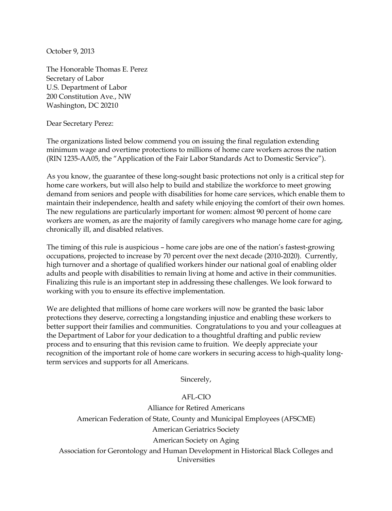October 9, 2013

The Honorable Thomas E. Perez Secretary of Labor U.S. Department of Labor 200 Constitution Ave., NW Washington, DC 20210

Dear Secretary Perez:

The organizations listed below commend you on issuing the final regulation extending minimum wage and overtime protections to millions of home care workers across the nation (RIN 1235-AA05, the "Application of the Fair Labor Standards Act to Domestic Service").

As you know, the guarantee of these long-sought basic protections not only is a critical step for home care workers, but will also help to build and stabilize the workforce to meet growing demand from seniors and people with disabilities for home care services, which enable them to maintain their independence, health and safety while enjoying the comfort of their own homes. The new regulations are particularly important for women: almost 90 percent of home care workers are women, as are the majority of family caregivers who manage home care for aging, chronically ill, and disabled relatives.

The timing of this rule is auspicious – home care jobs are one of the nation's fastest-growing occupations, projected to increase by 70 percent over the next decade (2010-2020). Currently, high turnover and a shortage of qualified workers hinder our national goal of enabling older adults and people with disabilities to remain living at home and active in their communities. Finalizing this rule is an important step in addressing these challenges. We look forward to working with you to ensure its effective implementation.

We are delighted that millions of home care workers will now be granted the basic labor protections they deserve, correcting a longstanding injustice and enabling these workers to better support their families and communities. Congratulations to you and your colleagues at the Department of Labor for your dedication to a thoughtful drafting and public review process and to ensuring that this revision came to fruition. We deeply appreciate your recognition of the important role of home care workers in securing access to high-quality longterm services and supports for all Americans.

Sincerely,

## AFL-CIO

Alliance for Retired Americans American Federation of State, County and Municipal Employees (AFSCME) American Geriatrics Society American Society on Aging Association for Gerontology and Human Development in Historical Black Colleges and Universities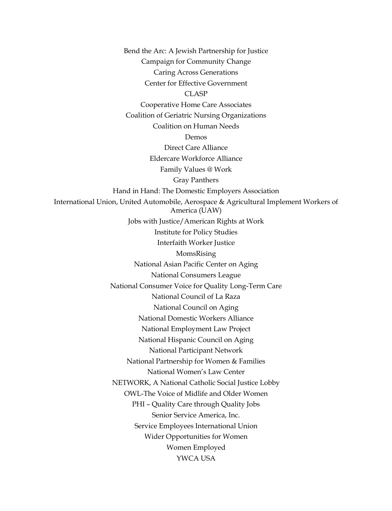Bend the Arc: A Jewish Partnership for Justice Campaign for Community Change Caring Across Generations Center for Effective Government CLASP Cooperative Home Care Associates Coalition of Geriatric Nursing Organizations Coalition on Human Needs Demos Direct Care Alliance Eldercare Workforce Alliance Family Values @ Work Gray Panthers Hand in Hand: The Domestic Employers Association International Union, United Automobile, Aerospace & Agricultural Implement Workers of America (UAW) Jobs with Justice/American Rights at Work Institute for Policy Studies Interfaith Worker Justice MomsRising National Asian Pacific Center on Aging National Consumers League National Consumer Voice for Quality Long-Term Care National Council of La Raza National Council on Aging National Domestic Workers Alliance National Employment Law Project National Hispanic Council on Aging National Participant Network National Partnership for Women & Families National Women's Law Center NETWORK, A National Catholic Social Justice Lobby OWL-The Voice of Midlife and Older Women PHI – Quality Care through Quality Jobs Senior Service America, Inc. Service Employees International Union Wider Opportunities for Women Women Employed YWCA USA